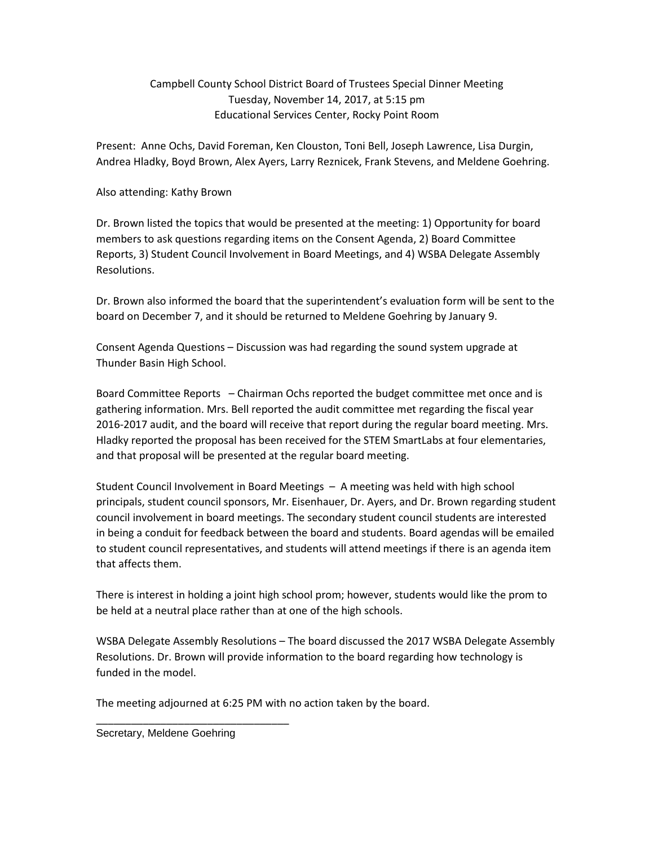## Campbell County School District Board of Trustees Special Dinner Meeting Tuesday, November 14, 2017, at 5:15 pm Educational Services Center, Rocky Point Room

Present: Anne Ochs, David Foreman, Ken Clouston, Toni Bell, Joseph Lawrence, Lisa Durgin, Andrea Hladky, Boyd Brown, Alex Ayers, Larry Reznicek, Frank Stevens, and Meldene Goehring.

## Also attending: Kathy Brown

Dr. Brown listed the topics that would be presented at the meeting: 1) Opportunity for board members to ask questions regarding items on the Consent Agenda, 2) Board Committee Reports, 3) Student Council Involvement in Board Meetings, and 4) WSBA Delegate Assembly Resolutions.

Dr. Brown also informed the board that the superintendent's evaluation form will be sent to the board on December 7, and it should be returned to Meldene Goehring by January 9.

Consent Agenda Questions – Discussion was had regarding the sound system upgrade at Thunder Basin High School.

Board Committee Reports – Chairman Ochs reported the budget committee met once and is gathering information. Mrs. Bell reported the audit committee met regarding the fiscal year 2016-2017 audit, and the board will receive that report during the regular board meeting. Mrs. Hladky reported the proposal has been received for the STEM SmartLabs at four elementaries, and that proposal will be presented at the regular board meeting.

Student Council Involvement in Board Meetings – A meeting was held with high school principals, student council sponsors, Mr. Eisenhauer, Dr. Ayers, and Dr. Brown regarding student council involvement in board meetings. The secondary student council students are interested in being a conduit for feedback between the board and students. Board agendas will be emailed to student council representatives, and students will attend meetings if there is an agenda item that affects them.

There is interest in holding a joint high school prom; however, students would like the prom to be held at a neutral place rather than at one of the high schools.

WSBA Delegate Assembly Resolutions – The board discussed the 2017 WSBA Delegate Assembly Resolutions. Dr. Brown will provide information to the board regarding how technology is funded in the model.

The meeting adjourned at 6:25 PM with no action taken by the board.

Secretary, Meldene Goehring

\_\_\_\_\_\_\_\_\_\_\_\_\_\_\_\_\_\_\_\_\_\_\_\_\_\_\_\_\_\_\_\_\_